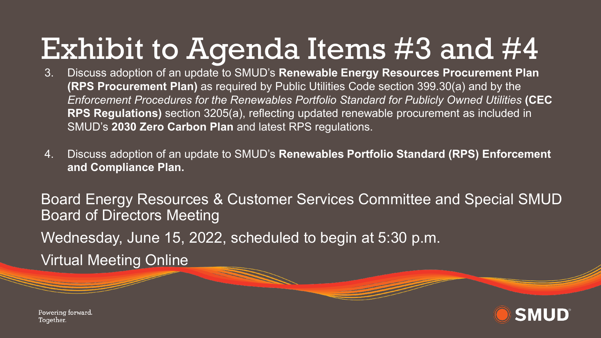# Exhibit to Agenda Items #3 and #4

- 3. Discuss adoption of an update to SMUD's **Renewable Energy Resources Procurement Plan (RPS Procurement Plan)** as required by Public Utilities Code section 399.30(a) and by the *Enforcement Procedures for the Renewables Portfolio Standard for Publicly Owned Utilities* **(CEC RPS Regulations)** section 3205(a), reflecting updated renewable procurement as included in SMUD's **2030 Zero Carbon Plan** and latest RPS regulations.
- 4. Discuss adoption of an update to SMUD's **Renewables Portfolio Standard (RPS) Enforcement and Compliance Plan.**

Board Energy Resources & Customer Services Committee and Special SMUD Board of Directors Meeting Wednesday, June 15, 2022, scheduled to begin at 5:30 p.m. Virtual Meeting Online



Powering forward. Together.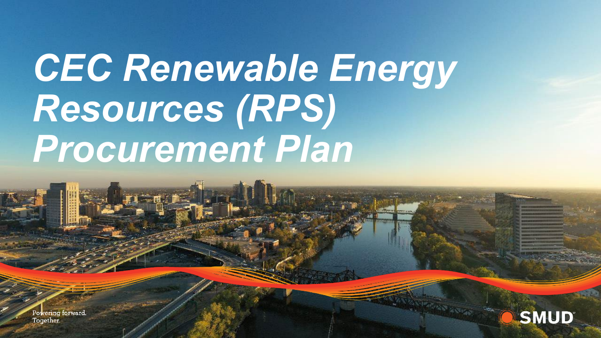# *CEC Renewable Energy Resources (RPS) Procurement Plan*

Powering forward. Together.

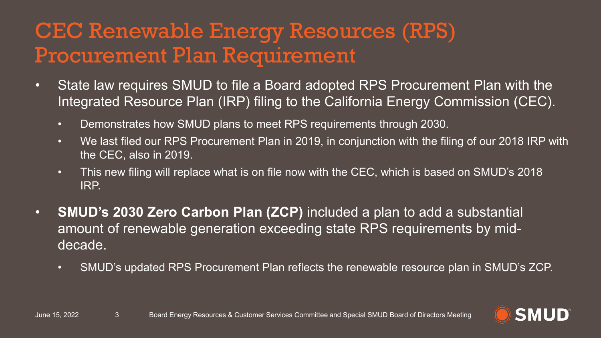#### CEC Renewable Energy Resources (RPS) Procurement Plan Requirement

- State law requires SMUD to file a Board adopted RPS Procurement Plan with the Integrated Resource Plan (IRP) filing to the California Energy Commission (CEC).
	- Demonstrates how SMUD plans to meet RPS requirements through 2030.
	- We last filed our RPS Procurement Plan in 2019, in conjunction with the filing of our 2018 IRP with the CEC, also in 2019.
	- This new filing will replace what is on file now with the CEC, which is based on SMUD's 2018 IRP.
- **SMUD's 2030 Zero Carbon Plan (ZCP)** included a plan to add a substantial amount of renewable generation exceeding state RPS requirements by middecade.
	- SMUD's updated RPS Procurement Plan reflects the renewable resource plan in SMUD's ZCP.

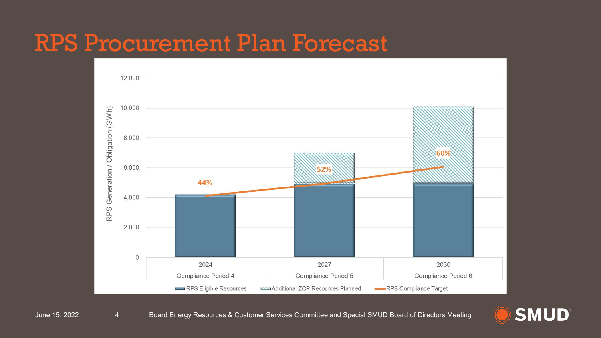### RPS Procurement Plan Forecast



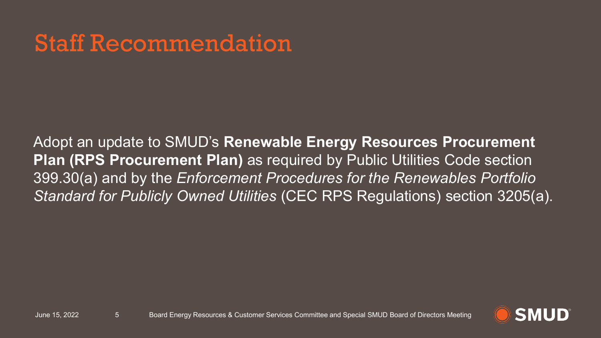# Staff Recommendation

Adopt an update to SMUD's **Renewable Energy Resources Procurement Plan (RPS Procurement Plan)** as required by Public Utilities Code section 399.30(a) and by the *Enforcement Procedures for the Renewables Portfolio Standard for Publicly Owned Utilities* (CEC RPS Regulations) section 3205(a).

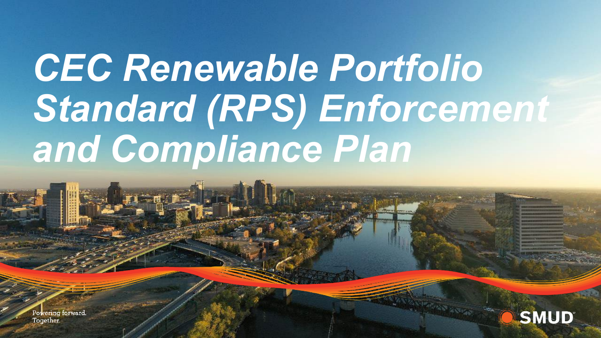# *CEC Renewable Portfolio Standard (RPS) Enforcement and Compliance Plan*

Powering forward. Together.

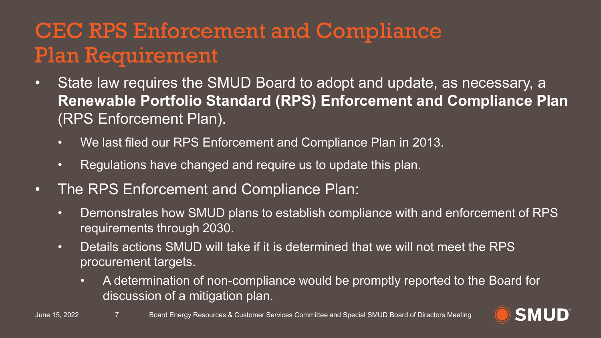### CEC RPS Enforcement and Compliance Plan Requirement

- State law requires the SMUD Board to adopt and update, as necessary, a **Renewable Portfolio Standard (RPS) Enforcement and Compliance Plan**  (RPS Enforcement Plan).
	- We last filed our RPS Enforcement and Compliance Plan in 2013.
	- Regulations have changed and require us to update this plan.
- The RPS Enforcement and Compliance Plan:
	- Demonstrates how SMUD plans to establish compliance with and enforcement of RPS requirements through 2030.
	- Details actions SMUD will take if it is determined that we will not meet the RPS procurement targets.
		- A determination of non-compliance would be promptly reported to the Board for discussion of a mitigation plan.

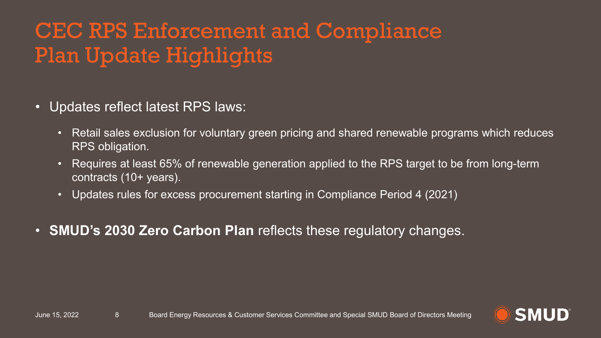### CEC RPS Enforcement and Compliance Plan Update Highlights

- Updates reflect latest RPS laws:
	- Retail sales exclusion for voluntary green pricing and shared renewable programs which reduces RPS obligation.
	- Requires at least 65% of renewable generation applied to the RPS target to be from long-term contracts (10+ years).
	- Updates rules for excess procurement starting in Compliance Period 4 (2021)
- **SMUD's 2030 Zero Carbon Plan** reflects these regulatory changes.